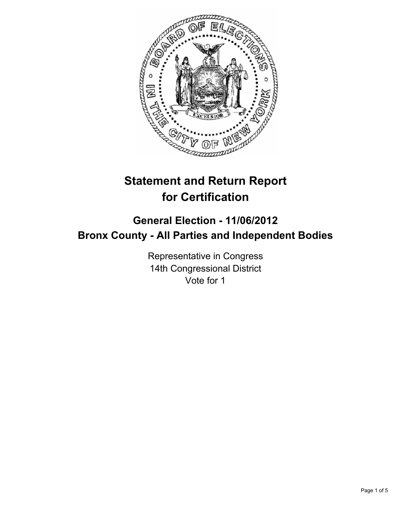

# **Statement and Return Report for Certification**

## **General Election - 11/06/2012 Bronx County - All Parties and Independent Bodies**

Representative in Congress 14th Congressional District Vote for 1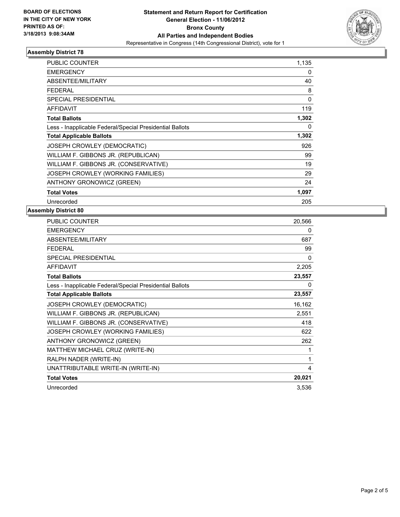

### **Assembly District 78**

| <b>PUBLIC COUNTER</b>                                    | 1,135        |
|----------------------------------------------------------|--------------|
| <b>EMERGENCY</b>                                         | 0            |
| ABSENTEE/MILITARY                                        | 40           |
| FEDERAL                                                  | 8            |
| <b>SPECIAL PRESIDENTIAL</b>                              | $\mathbf{0}$ |
| <b>AFFIDAVIT</b>                                         | 119          |
| <b>Total Ballots</b>                                     | 1,302        |
| Less - Inapplicable Federal/Special Presidential Ballots | 0            |
|                                                          |              |
| <b>Total Applicable Ballots</b>                          | 1,302        |
| JOSEPH CROWLEY (DEMOCRATIC)                              | 926          |
| WILLIAM F. GIBBONS JR. (REPUBLICAN)                      | 99           |
| WILLIAM F. GIBBONS JR. (CONSERVATIVE)                    | 19           |
| JOSEPH CROWLEY (WORKING FAMILIES)                        | 29           |
| <b>ANTHONY GRONOWICZ (GREEN)</b>                         | 24           |
| <b>Total Votes</b>                                       | 1,097        |

### **Assembly District 80**

| <b>PUBLIC COUNTER</b>                                    | 20,566 |
|----------------------------------------------------------|--------|
| <b>EMERGENCY</b>                                         | 0      |
| <b>ABSENTEE/MILITARY</b>                                 | 687    |
| <b>FEDERAL</b>                                           | 99     |
| <b>SPECIAL PRESIDENTIAL</b>                              | 0      |
| <b>AFFIDAVIT</b>                                         | 2,205  |
| <b>Total Ballots</b>                                     | 23,557 |
| Less - Inapplicable Federal/Special Presidential Ballots | 0      |
| <b>Total Applicable Ballots</b>                          | 23,557 |
| JOSEPH CROWLEY (DEMOCRATIC)                              | 16,162 |
| WILLIAM F. GIBBONS JR. (REPUBLICAN)                      | 2,551  |
| WILLIAM F. GIBBONS JR. (CONSERVATIVE)                    | 418    |
| JOSEPH CROWLEY (WORKING FAMILIES)                        | 622    |
| ANTHONY GRONOWICZ (GREEN)                                | 262    |
| MATTHEW MICHAEL CRUZ (WRITE-IN)                          | 1      |
| RALPH NADER (WRITE-IN)                                   | 1      |
| UNATTRIBUTABLE WRITE-IN (WRITE-IN)                       | 4      |
| <b>Total Votes</b>                                       | 20,021 |
| Unrecorded                                               | 3,536  |
|                                                          |        |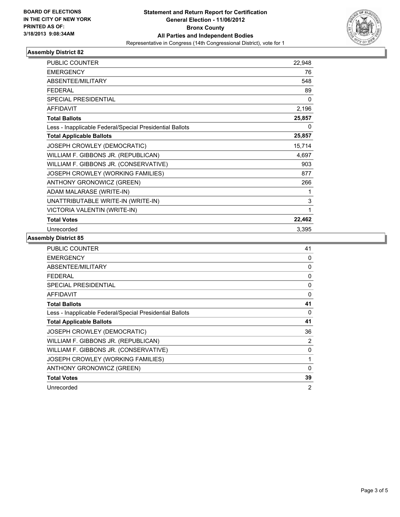

### **Assembly District 82**

| <b>PUBLIC COUNTER</b>                                    | 22,948 |
|----------------------------------------------------------|--------|
| <b>EMERGENCY</b>                                         | 76     |
| <b>ABSENTEE/MILITARY</b>                                 | 548    |
| <b>FEDERAL</b>                                           | 89     |
| <b>SPECIAL PRESIDENTIAL</b>                              | 0      |
| <b>AFFIDAVIT</b>                                         | 2,196  |
| <b>Total Ballots</b>                                     | 25,857 |
| Less - Inapplicable Federal/Special Presidential Ballots | 0      |
| <b>Total Applicable Ballots</b>                          | 25,857 |
| JOSEPH CROWLEY (DEMOCRATIC)                              | 15,714 |
| WILLIAM F. GIBBONS JR. (REPUBLICAN)                      | 4,697  |
| WILLIAM F. GIBBONS JR. (CONSERVATIVE)                    | 903    |
| JOSEPH CROWLEY (WORKING FAMILIES)                        | 877    |
| ANTHONY GRONOWICZ (GREEN)                                | 266    |
| ADAM MALARASE (WRITE-IN)                                 |        |
| UNATTRIBUTABLE WRITE-IN (WRITE-IN)                       | 3      |
| VICTORIA VALENTIN (WRITE-IN)                             | 1      |
| <b>Total Votes</b>                                       | 22,462 |
| Unrecorded                                               | 3,395  |

### **Assembly District 85**

| <b>PUBLIC COUNTER</b>                                    | 41           |
|----------------------------------------------------------|--------------|
| <b>EMERGENCY</b>                                         | 0            |
| ABSENTEE/MILITARY                                        | 0            |
| <b>FEDERAL</b>                                           | 0            |
| <b>SPECIAL PRESIDENTIAL</b>                              | 0            |
| <b>AFFIDAVIT</b>                                         | 0            |
| <b>Total Ballots</b>                                     | 41           |
| Less - Inapplicable Federal/Special Presidential Ballots | 0            |
| <b>Total Applicable Ballots</b>                          | 41           |
| JOSEPH CROWLEY (DEMOCRATIC)                              | 36           |
| WILLIAM F. GIBBONS JR. (REPUBLICAN)                      | 2            |
| WILLIAM F. GIBBONS JR. (CONSERVATIVE)                    | 0            |
| JOSEPH CROWLEY (WORKING FAMILIES)                        | 1            |
| <b>ANTHONY GRONOWICZ (GREEN)</b>                         | $\mathbf{0}$ |
|                                                          |              |
| <b>Total Votes</b>                                       | 39           |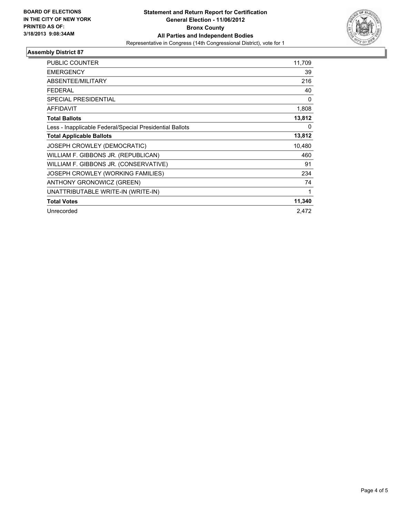

### **Assembly District 87**

| <b>PUBLIC COUNTER</b>                                    | 11,709   |
|----------------------------------------------------------|----------|
| <b>EMERGENCY</b>                                         | 39       |
| <b>ABSENTEE/MILITARY</b>                                 | 216      |
| <b>FEDERAL</b>                                           | 40       |
| <b>SPECIAL PRESIDENTIAL</b>                              | $\Omega$ |
| <b>AFFIDAVIT</b>                                         | 1,808    |
| <b>Total Ballots</b>                                     | 13,812   |
| Less - Inapplicable Federal/Special Presidential Ballots | 0        |
| <b>Total Applicable Ballots</b>                          | 13,812   |
| JOSEPH CROWLEY (DEMOCRATIC)                              | 10,480   |
| WILLIAM F. GIBBONS JR. (REPUBLICAN)                      | 460      |
| WILLIAM F. GIBBONS JR. (CONSERVATIVE)                    | 91       |
| JOSEPH CROWLEY (WORKING FAMILIES)                        | 234      |
| ANTHONY GRONOWICZ (GREEN)                                | 74       |
| UNATTRIBUTABLE WRITE-IN (WRITE-IN)                       | 1        |
| <b>Total Votes</b>                                       | 11,340   |
| Unrecorded                                               | 2,472    |